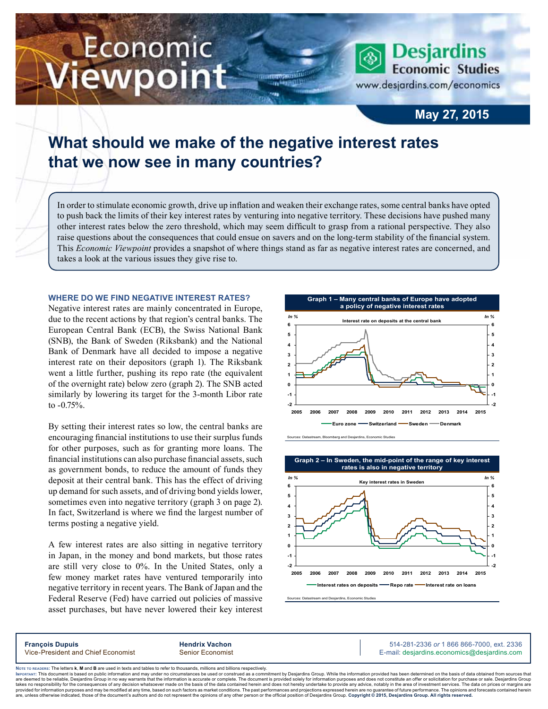# Economic iewpoint

**Desjardins Economic Studies** www.desjardins.com/economics

**May 27, 2015**

# **What should we make of the negative interest rates that we now see in many countries?**

In order to stimulate economic growth, drive up inflation and weaken their exchange rates, some central banks have opted to push back the limits of their key interest rates by venturing into negative territory. These decisions have pushed many other interest rates below the zero threshold, which may seem difficult to grasp from a rational perspective. They also raise questions about the consequences that could ensue on savers and on the long-term stability of the financial system. This *Economic Viewpoint* provides a snapshot of where things stand as far as negative interest rates are concerned, and takes a look at the various issues they give rise to.

m

### **Where do we find negative interest rates?**

Negative interest rates are mainly concentrated in Europe, due to the recent actions by that region's central banks. The European Central Bank (ECB), the Swiss National Bank (SNB), the Bank of Sweden (Riksbank) and the National Bank of Denmark have all decided to impose a negative interest rate on their depositors (graph 1). The Riksbank went a little further, pushing its repo rate (the equivalent of the overnight rate) below zero (graph 2). The SNB acted similarly by lowering its target for the 3-month Libor rate to -0.75%.

By setting their interest rates so low, the central banks are encouraging financial institutions to use their surplus funds for other purposes, such as for granting more loans. The financial institutions can also purchase financial assets, such as government bonds, to reduce the amount of funds they deposit at their central bank. This has the effect of driving up demand for such assets, and of driving bond yields lower, sometimes even into negative territory (graph 3 on page 2). In fact, Switzerland is where we find the largest number of terms posting a negative yield.

A few interest rates are also sitting in negative territory in Japan, in the money and bond markets, but those rates are still very close to 0%. In the United States, only a few money market rates have ventured temporarily into negative territory in recent years. The Bank of Japan and the Federal Reserve (Fed) have carried out policies of massive asset purchases, but have never lowered their key interest



.<br>Sources: Datastream, Bloomberg and Desjardins, Economic Stud



Sources: Datastream and Desjardins, Economic Studies

**François Dupuis Hendrix Vachon** 514-281-2336 *or* 1 866 866-7000, ext. 2336 Vice-President and Chief Economist Senior Economist Senior Economist E-mail: desjardins.economics@desjardins.com

Noте то келоекs: The letters **k, M** and **B** are used in texts and tables to refer to thousands, millions and billions respectively.<br>Імроктлит: This document is based on public information and may under no circumstances be are deemed to be reliable. Desiardins Group in no way warrants that the information is accurate or complete. The document is provided solely for information purposes and does not constitute an offer or solicitation for pur takes no responsibility for the consequences of any decision whatsoever made on the basis of the data contained herein and does not hereby undertake to provide any advice, notably in the area of investment services. The da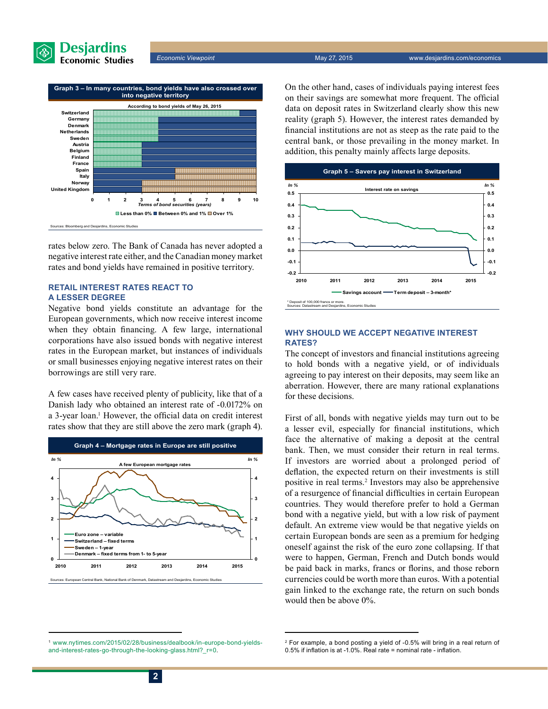

*Economic Viewpoint* May 27, 2015 www.desjardins.com/economics



rates below zero. The Bank of Canada has never adopted a negative interest rate either, and the Canadian money market rates and bond yields have remained in positive territory.

## **Retail interest rates react to a lesser degree**

Negative bond yields constitute an advantage for the European governments, which now receive interest income when they obtain financing. A few large, international corporations have also issued bonds with negative interest rates in the European market, but instances of individuals or small businesses enjoying negative interest rates on their borrowings are still very rare.

A few cases have received plenty of publicity, like that of a Danish lady who obtained an interest rate of -0.0172% on a 3‑year loan.1 However, the official data on credit interest rates show that they are still above the zero mark (graph 4).



On the other hand, cases of individuals paying interest fees on their savings are somewhat more frequent. The official data on deposit rates in Switzerland clearly show this new reality (graph 5). However, the interest rates demanded by financial institutions are not as steep as the rate paid to the central bank, or those prevailing in the money market. In addition, this penalty mainly affects large deposits.



### **Why should we accept negative interest rates?**

The concept of investors and financial institutions agreeing to hold bonds with a negative yield, or of individuals agreeing to pay interest on their deposits, may seem like an aberration. However, there are many rational explanations for these decisions.

First of all, bonds with negative yields may turn out to be a lesser evil, especially for financial institutions, which face the alternative of making a deposit at the central bank. Then, we must consider their return in real terms. If investors are worried about a prolonged period of deflation, the expected return on their investments is still positive in real terms.<sup>2</sup> Investors may also be apprehensive of a resurgence of financial difficulties in certain European countries. They would therefore prefer to hold a German bond with a negative yield, but with a low risk of payment default. An extreme view would be that negative yields on certain European bonds are seen as a premium for hedging oneself against the risk of the euro zone collapsing. If that were to happen, German, French and Dutch bonds would be paid back in marks, francs or florins, and those reborn currencies could be worth more than euros. With a potential gain linked to the exchange rate, the return on such bonds would then be above 0%.

<sup>1</sup> [www.nytimes.com/2015/02/28/business/dealbook/in-europe-bond-yields](http://www.nytimes.com/2015/02/28/business/dealbook/in-europe-bond-yields-and-interest-rates-go-through-the-looking-glass.html?_r=0)[and-interest-rates-go-through-the-looking-glass.html?\\_r=0.](http://www.nytimes.com/2015/02/28/business/dealbook/in-europe-bond-yields-and-interest-rates-go-through-the-looking-glass.html?_r=0)

<sup>2</sup> For example, a bond posting a yield of -0.5% will bring in a real return of 0.5% if inflation is at -1.0%. Real rate = nominal rate - inflation.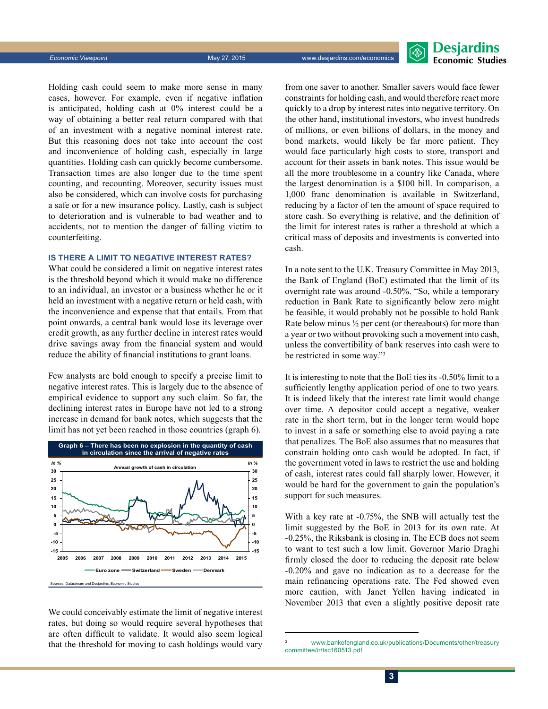*Economic Viewpoint* May 27, 2015 www.desjardins.com/economics

**Desjardins Fronomic Studies** 

Holding cash could seem to make more sense in many cases, however. For example, even if negative inflation is anticipated, holding cash at 0% interest could be a way of obtaining a better real return compared with that of an investment with a negative nominal interest rate. But this reasoning does not take into account the cost and inconvenience of holding cash, especially in large quantities. Holding cash can quickly become cumbersome. Transaction times are also longer due to the time spent counting, and recounting. Moreover, security issues must also be considered, which can involve costs for purchasing a safe or for a new insurance policy. Lastly, cash is subject to deterioration and is vulnerable to bad weather and to accidents, not to mention the danger of falling victim to counterfeiting.

#### **Is there a limit to negative interest rates?**

What could be considered a limit on negative interest rates is the threshold beyond which it would make no difference to an individual, an investor or a business whether he or it held an investment with a negative return or held cash, with the inconvenience and expense that that entails. From that point onwards, a central bank would lose its leverage over credit growth, as any further decline in interest rates would drive savings away from the financial system and would reduce the ability of financial institutions to grant loans.

Few analysts are bold enough to specify a precise limit to negative interest rates. This is largely due to the absence of empirical evidence to support any such claim. So far, the declining interest rates in Europe have not led to a strong increase in demand for bank notes, which suggests that the limit has not yet been reached in those countries (graph 6).



We could conceivably estimate the limit of negative interest rates, but doing so would require several hypotheses that are often difficult to validate. It would also seem logical that the threshold for moving to cash holdings would vary from one saver to another. Smaller savers would face fewer constraints for holding cash, and would therefore react more quickly to a drop by interest rates into negative territory. On the other hand, institutional investors, who invest hundreds of millions, or even billions of dollars, in the money and bond markets, would likely be far more patient. They would face particularly high costs to store, transport and account for their assets in bank notes. This issue would be all the more troublesome in a country like Canada, where the largest denomination is a \$100 bill. In comparison, a 1,000 franc denomination is available in Switzerland, reducing by a factor of ten the amount of space required to store cash. So everything is relative, and the definition of the limit for interest rates is rather a threshold at which a critical mass of deposits and investments is converted into cash.

In a note sent to the U.K. Treasury Committee in May 2013, the Bank of England (BoE) estimated that the limit of its overnight rate was around -0.50%. "So, while a temporary reduction in Bank Rate to significantly below zero might be feasible, it would probably not be possible to hold Bank Rate below minus  $\frac{1}{2}$  per cent (or thereabouts) for more than a year or two without provoking such a movement into cash, unless the convertibility of bank reserves into cash were to be restricted in some way."3

It is interesting to note that the BoE ties its -0.50% limit to a sufficiently lengthy application period of one to two years. It is indeed likely that the interest rate limit would change over time. A depositor could accept a negative, weaker rate in the short term, but in the longer term would hope to invest in a safe or something else to avoid paying a rate that penalizes. The BoE also assumes that no measures that constrain holding onto cash would be adopted. In fact, if the government voted in laws to restrict the use and holding of cash, interest rates could fall sharply lower. However, it would be hard for the government to gain the population's support for such measures.

With a key rate at -0.75%, the SNB will actually test the limit suggested by the BoE in 2013 for its own rate. At -0.25%, the Riksbank is closing in. The ECB does not seem to want to test such a low limit. Governor Mario Draghi firmly closed the door to reducing the deposit rate below -0.20% and gave no indication as to a decrease for the main refinancing operations rate. The Fed showed even more caution, with Janet Yellen having indicated in November 2013 that even a slightly positive deposit rate

www.bankofengland.co.uk/publications/Documents/other/treasury [committee/ir/tsc160513.pdf.](http://www.bankofengland.co.uk/publications/Documents/other/treasurycommittee/ir/tsc160513.pdf)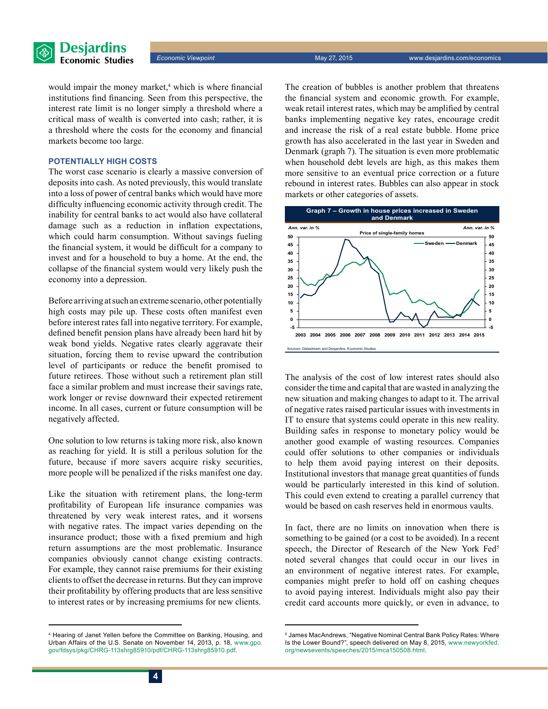

would impair the money market,<sup>4</sup> which is where financial institutions find financing. Seen from this perspective, the interest rate limit is no longer simply a threshold where a critical mass of wealth is converted into cash; rather, it is a threshold where the costs for the economy and financial markets become too large.

#### **Potentially high costs**

The worst case scenario is clearly a massive conversion of deposits into cash. As noted previously, this would translate into a loss of power of central banks which would have more difficulty influencing economic activity through credit. The inability for central banks to act would also have collateral damage such as a reduction in inflation expectations, which could harm consumption. Without savings fueling the financial system, it would be difficult for a company to invest and for a household to buy a home. At the end, the collapse of the financial system would very likely push the economy into a depression.

Before arriving at such an extreme scenario, other potentially high costs may pile up. These costs often manifest even before interest rates fall into negative territory. For example, defined benefit pension plans have already been hard hit by weak bond yields. Negative rates clearly aggravate their situation, forcing them to revise upward the contribution level of participants or reduce the benefit promised to future retirees. Those without such a retirement plan still face a similar problem and must increase their savings rate, work longer or revise downward their expected retirement income. In all cases, current or future consumption will be negatively affected.

One solution to low returns is taking more risk, also known as reaching for yield. It is still a perilous solution for the future, because if more savers acquire risky securities, more people will be penalized if the risks manifest one day.

Like the situation with retirement plans, the long-term profitability of European life insurance companies was threatened by very weak interest rates, and it worsens with negative rates. The impact varies depending on the insurance product; those with a fixed premium and high return assumptions are the most problematic. Insurance companies obviously cannot change existing contracts. For example, they cannot raise premiums for their existing clients to offset the decrease in returns. But they can improve their profitability by offering products that are less sensitive to interest rates or by increasing premiums for new clients.

The creation of bubbles is another problem that threatens the financial system and economic growth. For example, weak retail interest rates, which may be amplified by central banks implementing negative key rates, encourage credit and increase the risk of a real estate bubble. Home price growth has also accelerated in the last year in Sweden and Denmark (graph 7). The situation is even more problematic when household debt levels are high, as this makes them more sensitive to an eventual price correction or a future rebound in interest rates. Bubbles can also appear in stock markets or other categories of assets.



The analysis of the cost of low interest rates should also consider the time and capital that are wasted in analyzing the new situation and making changes to adapt to it. The arrival of negative rates raised particular issues with investments in IT to ensure that systems could operate in this new reality. Building safes in response to monetary policy would be another good example of wasting resources. Companies could offer solutions to other companies or individuals to help them avoid paying interest on their deposits. Institutional investors that manage great quantities of funds would be particularly interested in this kind of solution. This could even extend to creating a parallel currency that would be based on cash reserves held in enormous vaults.

In fact, there are no limits on innovation when there is something to be gained (or a cost to be avoided). In a recent speech, the Director of Research of the New York Fed<sup>5</sup> noted several changes that could occur in our lives in an environment of negative interest rates. For example, companies might prefer to hold off on cashing cheques to avoid paying interest. Individuals might also pay their credit card accounts more quickly, or even in advance, to

<sup>4</sup> Hearing of Janet Yellen before the Committee on Banking, Housing, and Urban Affairs of the U.S. Senate on November 14, 2013, p. 18, [www.gpo.](http://www.gpo.gov/fdsys/pkg/CHRG-113shrg85910/pdf/CHRG-113shrg85910.pdf) [gov/fdsys/pkg/CHRG-113shrg85910/pdf/CHRG-113shrg85910.pdf](http://www.gpo.gov/fdsys/pkg/CHRG-113shrg85910/pdf/CHRG-113shrg85910.pdf).

<sup>5</sup> James MacAndrews, "Negative Nominal Central Bank Policy Rates: Where Is the Lower Bound?", speech delivered on May 8, 2015, [www.newyorkfed.](http://www.newyorkfed.org/newsevents/speeches/2015/mca150508.html) [org/newsevents/speeches/2015/mca150508.html.](http://www.newyorkfed.org/newsevents/speeches/2015/mca150508.html)